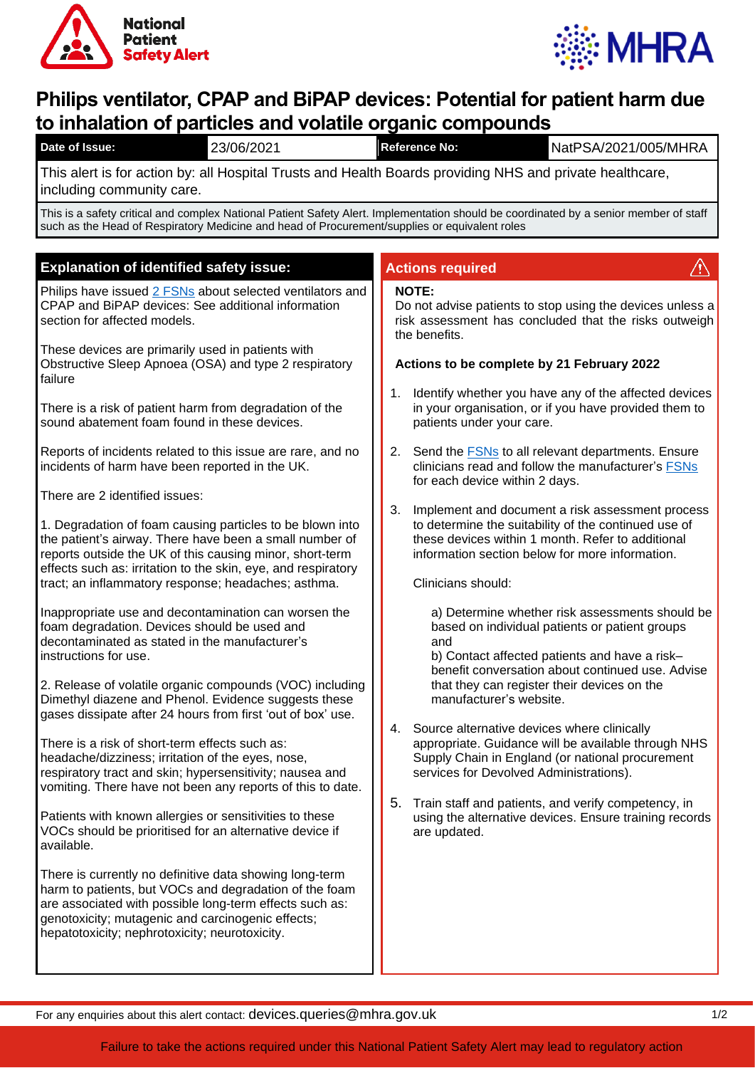



# **Philips ventilator, CPAP and BiPAP devices: Potential for patient harm due to inhalation of particles and volatile organic compounds**

| 23/06/2021<br>Date of Issue:                                                                                                                                                                                                                                                        | NatPSA/2021/005/MHRA<br><b>Reference No:</b>                                                                                                                                                                                                                                                                                                                                                                                                                                                                                                                                                                                                                                                                                               |
|-------------------------------------------------------------------------------------------------------------------------------------------------------------------------------------------------------------------------------------------------------------------------------------|--------------------------------------------------------------------------------------------------------------------------------------------------------------------------------------------------------------------------------------------------------------------------------------------------------------------------------------------------------------------------------------------------------------------------------------------------------------------------------------------------------------------------------------------------------------------------------------------------------------------------------------------------------------------------------------------------------------------------------------------|
| This alert is for action by: all Hospital Trusts and Health Boards providing NHS and private healthcare,<br>including community care.                                                                                                                                               |                                                                                                                                                                                                                                                                                                                                                                                                                                                                                                                                                                                                                                                                                                                                            |
| This is a safety critical and complex National Patient Safety Alert. Implementation should be coordinated by a senior member of staff<br>such as the Head of Respiratory Medicine and head of Procurement/supplies or equivalent roles                                              |                                                                                                                                                                                                                                                                                                                                                                                                                                                                                                                                                                                                                                                                                                                                            |
|                                                                                                                                                                                                                                                                                     |                                                                                                                                                                                                                                                                                                                                                                                                                                                                                                                                                                                                                                                                                                                                            |
| <b>Explanation of identified safety issue:</b>                                                                                                                                                                                                                                      | <b>Actions required</b>                                                                                                                                                                                                                                                                                                                                                                                                                                                                                                                                                                                                                                                                                                                    |
| Philips have issued 2 FSNs about selected ventilators and<br>CPAP and BiPAP devices: See additional information<br>section for affected models.                                                                                                                                     | <b>NOTE:</b><br>Do not advise patients to stop using the devices unless a<br>risk assessment has concluded that the risks outweigh<br>the benefits.<br>Actions to be complete by 21 February 2022<br>Identify whether you have any of the affected devices<br>1.<br>in your organisation, or if you have provided them to<br>patients under your care.<br>2.<br>Send the <b>FSNs</b> to all relevant departments. Ensure<br>clinicians read and follow the manufacturer's FSNs<br>for each device within 2 days.<br>3.<br>Implement and document a risk assessment process<br>to determine the suitability of the continued use of<br>these devices within 1 month. Refer to additional<br>information section below for more information. |
| These devices are primarily used in patients with<br>Obstructive Sleep Apnoea (OSA) and type 2 respiratory<br>failure                                                                                                                                                               |                                                                                                                                                                                                                                                                                                                                                                                                                                                                                                                                                                                                                                                                                                                                            |
| There is a risk of patient harm from degradation of the<br>sound abatement foam found in these devices.                                                                                                                                                                             |                                                                                                                                                                                                                                                                                                                                                                                                                                                                                                                                                                                                                                                                                                                                            |
| Reports of incidents related to this issue are rare, and no<br>incidents of harm have been reported in the UK.                                                                                                                                                                      |                                                                                                                                                                                                                                                                                                                                                                                                                                                                                                                                                                                                                                                                                                                                            |
| There are 2 identified issues:                                                                                                                                                                                                                                                      |                                                                                                                                                                                                                                                                                                                                                                                                                                                                                                                                                                                                                                                                                                                                            |
| 1. Degradation of foam causing particles to be blown into<br>the patient's airway. There have been a small number of<br>reports outside the UK of this causing minor, short-term<br>effects such as: irritation to the skin, eye, and respiratory                                   |                                                                                                                                                                                                                                                                                                                                                                                                                                                                                                                                                                                                                                                                                                                                            |
| tract; an inflammatory response; headaches; asthma.                                                                                                                                                                                                                                 | Clinicians should:                                                                                                                                                                                                                                                                                                                                                                                                                                                                                                                                                                                                                                                                                                                         |
| Inappropriate use and decontamination can worsen the<br>foam degradation. Devices should be used and<br>decontaminated as stated in the manufacturer's<br>instructions for use.<br>2. Release of volatile organic compounds (VOC) including                                         | a) Determine whether risk assessments should be<br>based on individual patients or patient groups<br>and<br>b) Contact affected patients and have a risk-<br>benefit conversation about continued use. Advise<br>that they can register their devices on the<br>manufacturer's website.<br>Source alternative devices where clinically<br>4.<br>appropriate. Guidance will be available through NHS<br>Supply Chain in England (or national procurement<br>services for Devolved Administrations).<br>5. Train staff and patients, and verify competency, in<br>using the alternative devices. Ensure training records<br>are updated.                                                                                                     |
| Dimethyl diazene and Phenol. Evidence suggests these<br>gases dissipate after 24 hours from first 'out of box' use.                                                                                                                                                                 |                                                                                                                                                                                                                                                                                                                                                                                                                                                                                                                                                                                                                                                                                                                                            |
| There is a risk of short-term effects such as:<br>headache/dizziness; irritation of the eyes, nose,<br>respiratory tract and skin; hypersensitivity; nausea and<br>vomiting. There have not been any reports of this to date.                                                       |                                                                                                                                                                                                                                                                                                                                                                                                                                                                                                                                                                                                                                                                                                                                            |
| Patients with known allergies or sensitivities to these<br>VOCs should be prioritised for an alternative device if<br>available.                                                                                                                                                    |                                                                                                                                                                                                                                                                                                                                                                                                                                                                                                                                                                                                                                                                                                                                            |
| There is currently no definitive data showing long-term<br>harm to patients, but VOCs and degradation of the foam<br>are associated with possible long-term effects such as:<br>genotoxicity; mutagenic and carcinogenic effects;<br>hepatotoxicity; nephrotoxicity; neurotoxicity. |                                                                                                                                                                                                                                                                                                                                                                                                                                                                                                                                                                                                                                                                                                                                            |

For any enquiries about this alert contact: devices.queries@mhra.gov.uk